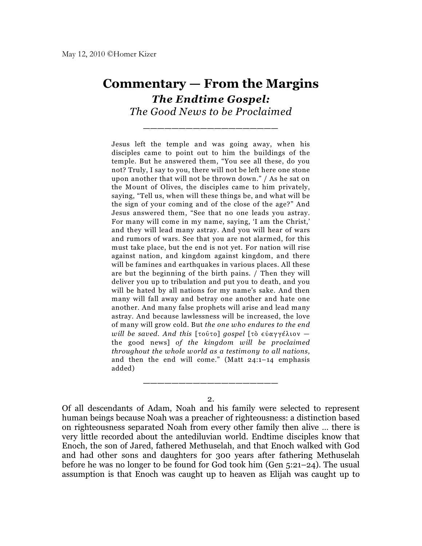## **Commentary — From the Margins** *The Endtime Gospel:*

*The Good News to be Proclaimed* \_\_\_\_\_\_\_\_\_\_\_\_\_\_\_\_\_\_\_

Jesus left the temple and was going away, when his disciples came to point out to him the buildings of the temple. But he answered them, "You see all these, do you not? Truly, I say to you, there will not be left here one stone upon another that will not be thrown down." / As he sat on the Mount of Olives, the disciples came to him privately, saying, "Tell us, when will these things be, and what will be the sign of your coming and of the close of the age?" And Jesus answered them, "See that no one leads you astray. For many will come in my name, saying, 'I am the Christ,' and they will lead many astray. And you will hear of wars and rumors of wars. See that you are not alarmed, for this must take place, but the end is not yet. For nation will rise against nation, and kingdom against kingdom, and there will be famines and earthquakes in various places. All these are but the beginning of the birth pains. / Then they will deliver you up to tribulation and put you to death, and you will be hated by all nations for my name's sake. And then many will fall away and betray one another and hate one another. And many false prophets will arise and lead many astray. And because lawlessness will be increased, the love of many will grow cold. But *the one who endures to the end will be saved. And this* [τούτο] gospel [τὸ εὐαγγέλιον – the good news] *of the kingdom will be proclaimed throughout the whole world as a testimony to all nations,* and then the end will come." (Matt 24:1–14 emphasis added)

2.

\_\_\_\_\_\_\_\_\_\_\_\_\_\_\_\_\_\_\_

Of all descendants of Adam, Noah and his family were selected to represent human beings because Noah was a preacher of righteousness: a distinction based on righteousness separated Noah from every other family then alive … there is very little recorded about the antediluvian world. Endtime disciples know that Enoch, the son of Jared, fathered Methuselah, and that Enoch walked with God and had other sons and daughters for 300 years after fathering Methuselah before he was no longer to be found for God took him (Gen 5:21–24). The usual assumption is that Enoch was caught up to heaven as Elijah was caught up to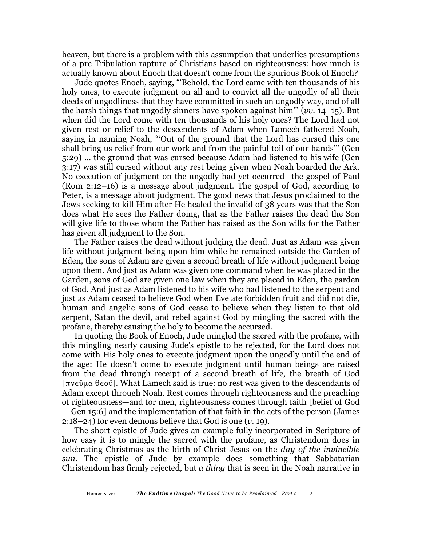heaven, but there is a problem with this assumption that underlies presumptions of a pre-Tribulation rapture of Christians based on righteousness: how much is actually known about Enoch that doesn't come from the spurious Book of Enoch?

Jude quotes Enoch, saying, "'Behold, the Lord came with ten thousands of his holy ones, to execute judgment on all and to convict all the ungodly of all their deeds of ungodliness that they have committed in such an ungodly way, and of all the harsh things that ungodly sinners have spoken against him'" (*vv*. 14–15). But when did the Lord come with ten thousands of his holy ones? The Lord had not given rest or relief to the descendents of Adam when Lamech fathered Noah, saying in naming Noah, "'Out of the ground that the Lord has cursed this one shall bring us relief from our work and from the painful toil of our hands'" (Gen 5:29) … the ground that was cursed because Adam had listened to his wife (Gen 3:17) was still cursed without any rest being given when Noah boarded the Ark. No execution of judgment on the ungodly had yet occurred—the gospel of Paul (Rom 2:12–16) is a message about judgment. The gospel of God, according to Peter, is a message about judgment. The good news that Jesus proclaimed to the Jews seeking to kill Him after He healed the invalid of 38 years was that the Son does what He sees the Father doing, that as the Father raises the dead the Son will give life to those whom the Father has raised as the Son wills for the Father has given all judgment to the Son.

The Father raises the dead without judging the dead. Just as Adam was given life without judgment being upon him while he remained outside the Garden of Eden, the sons of Adam are given a second breath of life without judgment being upon them. And just as Adam was given one command when he was placed in the Garden, sons of God are given one law when they are placed in Eden, the garden of God. And just as Adam listened to his wife who had listened to the serpent and just as Adam ceased to believe God when Eve ate forbidden fruit and did not die, human and angelic sons of God cease to believe when they listen to that old serpent, Satan the devil, and rebel against God by mingling the sacred with the profane, thereby causing the holy to become the accursed.

In quoting the Book of Enoch, Jude mingled the sacred with the profane, with this mingling nearly causing Jude's epistle to be rejected, for the Lord does not come with His holy ones to execute judgment upon the ungodly until the end of the age: He doesn't come to execute judgment until human beings are raised from the dead through receipt of a second breath of life, the breath of God  $[\pi v \in \hat{\mathfrak{g}}]$ . What Lamech said is true: no rest was given to the descendants of Adam except through Noah. Rest comes through righteousness and the preaching of righteousness—and for men, righteousness comes through faith [belief of God — Gen 15:6] and the implementation of that faith in the acts of the person (James 2:18–24) for even demons believe that God is one (*v*. 19).

The short epistle of Jude gives an example fully incorporated in Scripture of how easy it is to mingle the sacred with the profane, as Christendom does in celebrating Christmas as the birth of Christ Jesus on the *day of the invincible sun*. The epistle of Jude by example does something that Sabbatarian Christendom has firmly rejected, but *a thing* that is seen in the Noah narrative in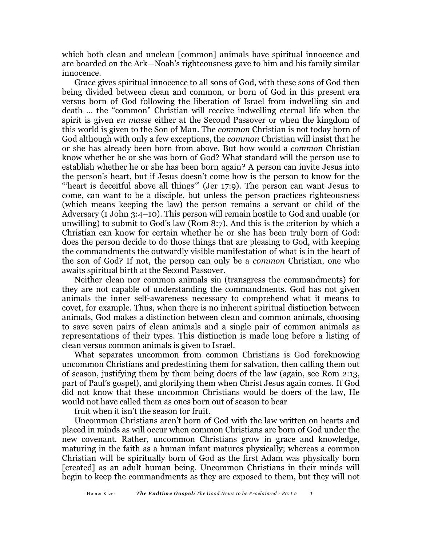which both clean and unclean [common] animals have spiritual innocence and are boarded on the Ark—Noah's righteousness gave to him and his family similar innocence.

Grace gives spiritual innocence to all sons of God, with these sons of God then being divided between clean and common, or born of God in this present era versus born of God following the liberation of Israel from indwelling sin and death … the "common" Christian will receive indwelling eternal life when the spirit is given *en masse* either at the Second Passover or when the kingdom of this world is given to the Son of Man. The *common* Christian is not today born of God although with only a few exceptions, the *common* Christian will insist that he or she has already been born from above. But how would a *common* Christian know whether he or she was born of God? What standard will the person use to establish whether he or she has been born again? A person can invite Jesus into the person's heart, but if Jesus doesn't come how is the person to know for the "'heart is deceitful above all things'" (Jer 17:9). The person can want Jesus to come, can want to be a disciple, but unless the person practices righteousness (which means keeping the law) the person remains a servant or child of the Adversary (1 John 3:4–10). This person will remain hostile to God and unable (or unwilling) to submit to God's law (Rom 8:7). And this is the criterion by which a Christian can know for certain whether he or she has been truly born of God: does the person decide to do those things that are pleasing to God, with keeping the commandments the outwardly visible manifestation of what is in the heart of the son of God? If not, the person can only be a *common* Christian, one who awaits spiritual birth at the Second Passover.

Neither clean nor common animals sin (transgress the commandments) for they are not capable of understanding the commandments. God has not given animals the inner self-awareness necessary to comprehend what it means to covet, for example. Thus, when there is no inherent spiritual distinction between animals, God makes a distinction between clean and common animals, choosing to save seven pairs of clean animals and a single pair of common animals as representations of their types. This distinction is made long before a listing of clean versus common animals is given to Israel.

What separates uncommon from common Christians is God foreknowing uncommon Christians and predestining them for salvation, then calling them out of season, justifying them by them being doers of the law (again, see Rom 2:13, part of Paul's gospel), and glorifying them when Christ Jesus again comes. If God did not know that these uncommon Christians would be doers of the law, He would not have called them as ones born out of season to bear

fruit when it isn't the season for fruit.

Uncommon Christians aren't born of God with the law written on hearts and placed in minds as will occur when common Christians are born of God under the new covenant. Rather, uncommon Christians grow in grace and knowledge, maturing in the faith as a human infant matures physically; whereas a common Christian will be spiritually born of God as the first Adam was physically born [created] as an adult human being. Uncommon Christians in their minds will begin to keep the commandments as they are exposed to them, but they will not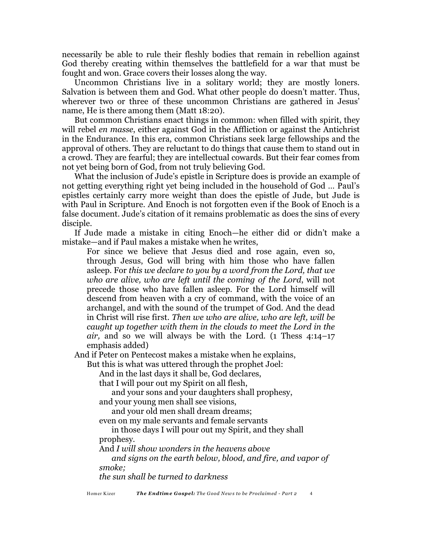necessarily be able to rule their fleshly bodies that remain in rebellion against God thereby creating within themselves the battlefield for a war that must be fought and won. Grace covers their losses along the way.

Uncommon Christians live in a solitary world; they are mostly loners. Salvation is between them and God. What other people do doesn't matter. Thus, wherever two or three of these uncommon Christians are gathered in Jesus' name, He is there among them (Matt 18:20).

But common Christians enact things in common: when filled with spirit, they will rebel *en masse*, either against God in the Affliction or against the Antichrist in the Endurance. In this era, common Christians seek large fellowships and the approval of others. They are reluctant to do things that cause them to stand out in a crowd. They are fearful; they are intellectual cowards. But their fear comes from not yet being born of God, from not truly believing God.

What the inclusion of Jude's epistle in Scripture does is provide an example of not getting everything right yet being included in the household of God … Paul's epistles certainly carry more weight than does the epistle of Jude, but Jude is with Paul in Scripture. And Enoch is not forgotten even if the Book of Enoch is a false document. Jude's citation of it remains problematic as does the sins of every disciple.

If Jude made a mistake in citing Enoch—he either did or didn't make a mistake—and if Paul makes a mistake when he writes,

For since we believe that Jesus died and rose again, even so, through Jesus, God will bring with him those who have fallen asleep. For *this we declare to you by a word from the Lord, that we who are alive, who are left until the coming of the Lord*, will not precede those who have fallen asleep. For the Lord himself will descend from heaven with a cry of command, with the voice of an archangel, and with the sound of the trumpet of God. And the dead in Christ will rise first. *Then we who are alive, who are left, will be caught up together with them in the clouds to meet the Lord in the air,* and so we will always be with the Lord. (1 Thess 4:14–17 emphasis added)

And if Peter on Pentecost makes a mistake when he explains,

But this is what was uttered through the prophet Joel:

And in the last days it shall be, God declares,

that I will pour out my Spirit on all flesh,

and your sons and your daughters shall prophesy, and your young men shall see visions,

and your old men shall dream dreams;

even on my male servants and female servants

in those days I will pour out my Spirit, and they shall prophesy.

And *I will show wonders in the heavens above*

*and signs on the earth below, blood, and fire, and vapor of smoke;*

*the sun shall be turned to darkness*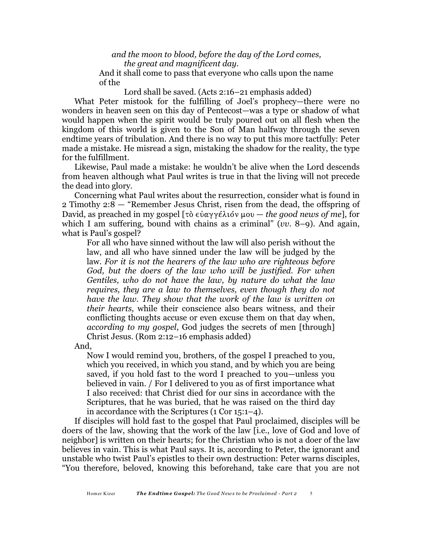*and the moon to blood, before the day of the Lord comes, the great and magnificent day.*

And it shall come to pass that everyone who calls upon the name of the

Lord shall be saved. (Acts 2:16–21 emphasis added)

What Peter mistook for the fulfilling of Joel's prophecy—there were no wonders in heaven seen on this day of Pentecost—was a type or shadow of what would happen when the spirit would be truly poured out on all flesh when the kingdom of this world is given to the Son of Man halfway through the seven endtime years of tribulation. And there is no way to put this more tactfully: Peter made a mistake. He misread a sign, mistaking the shadow for the reality, the type for the fulfillment.

Likewise, Paul made a mistake: he wouldn't be alive when the Lord descends from heaven although what Paul writes is true in that the living will not precede the dead into glory.

Concerning what Paul writes about the resurrection, consider what is found in 2 Timothy 2:8 — "Remember Jesus Christ, risen from the dead, the offspring of David, as preached in my gospel [ $\tau \delta \epsilon \dot{\alpha} \gamma \gamma \epsilon \lambda i \delta \nu \mu \delta \nu -$  *the good news of me*], for which I am suffering, bound with chains as a criminal" (*vv*. 8–9). And again, what is Paul's gospel?

For all who have sinned without the law will also perish without the law, and all who have sinned under the law will be judged by the law. *For it is not the hearers of the law who are righteous before God, but the doers of the law who will be justified. For when Gentiles, who do not have the law, by nature do what the law requires, they are a law to themselves, even though they do not have the law. They show that the work of the law is written on their hearts,* while their conscience also bears witness, and their conflicting thoughts accuse or even excuse them on that day when, *according to my gospel*, God judges the secrets of men [through] Christ Jesus. (Rom 2:12–16 emphasis added)

And,

Now I would remind you, brothers, of the gospel I preached to you, which you received, in which you stand, and by which you are being saved, if you hold fast to the word I preached to you—unless you believed in vain. / For I delivered to you as of first importance what I also received: that Christ died for our sins in accordance with the Scriptures, that he was buried, that he was raised on the third day in accordance with the Scriptures (1 Cor 15:1–4).

If disciples will hold fast to the gospel that Paul proclaimed, disciples will be doers of the law, showing that the work of the law [i.e., love of God and love of neighbor] is written on their hearts; for the Christian who is not a doer of the law believes in vain. This is what Paul says. It is, according to Peter, the ignorant and unstable who twist Paul's epistles to their own destruction: Peter warns disciples, "You therefore, beloved, knowing this beforehand, take care that you are not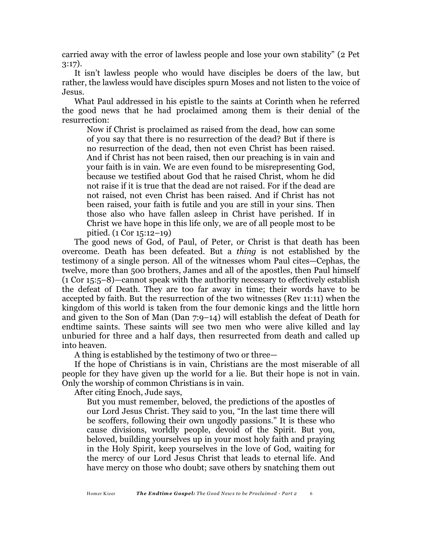carried away with the error of lawless people and lose your own stability" (2 Pet 3:17).

It isn't lawless people who would have disciples be doers of the law, but rather, the lawless would have disciples spurn Moses and not listen to the voice of Jesus.

What Paul addressed in his epistle to the saints at Corinth when he referred the good news that he had proclaimed among them is their denial of the resurrection:

Now if Christ is proclaimed as raised from the dead, how can some of you say that there is no resurrection of the dead? But if there is no resurrection of the dead, then not even Christ has been raised. And if Christ has not been raised, then our preaching is in vain and your faith is in vain. We are even found to be misrepresenting God, because we testified about God that he raised Christ, whom he did not raise if it is true that the dead are not raised. For if the dead are not raised, not even Christ has been raised. And if Christ has not been raised, your faith is futile and you are still in your sins. Then those also who have fallen asleep in Christ have perished. If in Christ we have hope in this life only, we are of all people most to be pitied. (1 Cor 15:12–19)

The good news of God, of Paul, of Peter, or Christ is that death has been overcome. Death has been defeated. But a *thing* is not established by the testimony of a single person. All of the witnesses whom Paul cites—Cephas, the twelve, more than 500 brothers, James and all of the apostles, then Paul himself (1 Cor 15:5–8)—cannot speak with the authority necessary to effectively establish the defeat of Death. They are too far away in time; their words have to be accepted by faith. But the resurrection of the two witnesses (Rev 11:11) when the kingdom of this world is taken from the four demonic kings and the little horn and given to the Son of Man (Dan 7:9–14) will establish the defeat of Death for endtime saints. These saints will see two men who were alive killed and lay unburied for three and a half days, then resurrected from death and called up into heaven.

A thing is established by the testimony of two or three—

If the hope of Christians is in vain, Christians are the most miserable of all people for they have given up the world for a lie. But their hope is not in vain. Only the worship of common Christians is in vain.

After citing Enoch, Jude says,

But you must remember, beloved, the predictions of the apostles of our Lord Jesus Christ. They said to you, "In the last time there will be scoffers, following their own ungodly passions." It is these who cause divisions, worldly people, devoid of the Spirit. But you, beloved, building yourselves up in your most holy faith and praying in the Holy Spirit, keep yourselves in the love of God, waiting for the mercy of our Lord Jesus Christ that leads to eternal life. And have mercy on those who doubt; save others by snatching them out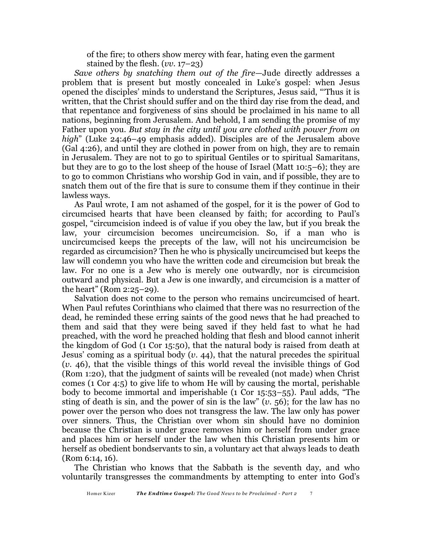of the fire; to others show mercy with fear, hating even the garment stained by the flesh. (*vv.* 17–23)

*Save others by snatching them out of the fire*—Jude directly addresses a problem that is present but mostly concealed in Luke's gospel: when Jesus opened the disciples' minds to understand the Scriptures, Jesus said, "'Thus it is written, that the Christ should suffer and on the third day rise from the dead, and that repentance and forgiveness of sins should be proclaimed in his name to all nations, beginning from Jerusalem. And behold, I am sending the promise of my Father upon you. *But stay in the city until you are clothed with power from on high*" (Luke 24:46–49 emphasis added). Disciples are of the Jerusalem above (Gal 4:26), and until they are clothed in power from on high, they are to remain in Jerusalem. They are not to go to spiritual Gentiles or to spiritual Samaritans, but they are to go to the lost sheep of the house of Israel (Matt 10:5–6); they are to go to common Christians who worship God in vain, and if possible, they are to snatch them out of the fire that is sure to consume them if they continue in their lawless ways.

As Paul wrote, I am not ashamed of the gospel, for it is the power of God to circumcised hearts that have been cleansed by faith; for according to Paul's gospel, "circumcision indeed is of value if you obey the law, but if you break the law, your circumcision becomes uncircumcision. So, if a man who is uncircumcised keeps the precepts of the law, will not his uncircumcision be regarded as circumcision? Then he who is physically uncircumcised but keeps the law will condemn you who have the written code and circumcision but break the law. For no one is a Jew who is merely one outwardly, nor is circumcision outward and physical. But a Jew is one inwardly, and circumcision is a matter of the heart" (Rom 2:25–29).

Salvation does not come to the person who remains uncircumcised of heart. When Paul refutes Corinthians who claimed that there was no resurrection of the dead, he reminded these erring saints of the good news that he had preached to them and said that they were being saved if they held fast to what he had preached, with the word he preached holding that flesh and blood cannot inherit the kingdom of God (1 Cor 15:50), that the natural body is raised from death at Jesus' coming as a spiritual body (*v*. 44), that the natural precedes the spiritual (*v.* 46), that the visible things of this world reveal the invisible things of God (Rom 1:20), that the judgment of saints will be revealed (not made) when Christ comes (1 Cor 4:5) to give life to whom He will by causing the mortal, perishable body to become immortal and imperishable (1 Cor 15:53–55). Paul adds, "The sting of death is sin, and the power of sin is the law" (*v*. 56); for the law has no power over the person who does not transgress the law. The law only has power over sinners. Thus, the Christian over whom sin should have no dominion because the Christian is under grace removes him or herself from under grace and places him or herself under the law when this Christian presents him or herself as obedient bondservants to sin, a voluntary act that always leads to death (Rom 6:14, 16).

The Christian who knows that the Sabbath is the seventh day, and who voluntarily transgresses the commandments by attempting to enter into God's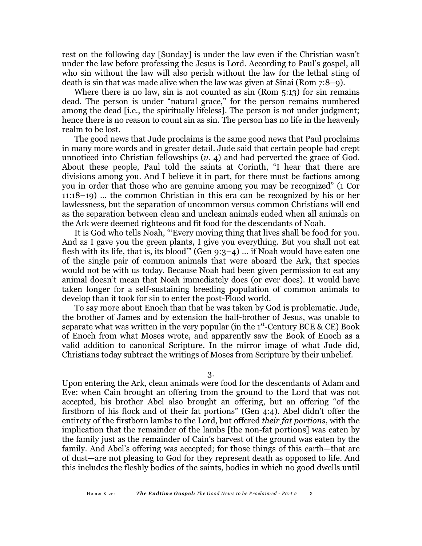rest on the following day [Sunday] is under the law even if the Christian wasn't under the law before professing the Jesus is Lord. According to Paul's gospel, all who sin without the law will also perish without the law for the lethal sting of death is sin that was made alive when the law was given at Sinai (Rom 7:8–9).

Where there is no law, sin is not counted as  $sin (Rom 5:13)$  for  $sin$  remains dead. The person is under "natural grace," for the person remains numbered among the dead [i.e., the spiritually lifeless]. The person is not under judgment; hence there is no reason to count sin as sin. The person has no life in the heavenly realm to be lost.

The good news that Jude proclaims is the same good news that Paul proclaims in many more words and in greater detail. Jude said that certain people had crept unnoticed into Christian fellowships (*v*. 4) and had perverted the grace of God. About these people, Paul told the saints at Corinth, "I hear that there are divisions among you. And I believe it in part, for there must be factions among you in order that those who are genuine among you may be recognized" (1 Cor 11:18–19) … the common Christian in this era can be recognized by his or her lawlessness, but the separation of uncommon versus common Christians will end as the separation between clean and unclean animals ended when all animals on the Ark were deemed righteous and fit food for the descendants of Noah.

It is God who tells Noah, "'Every moving thing that lives shall be food for you. And as I gave you the green plants, I give you everything. But you shall not eat flesh with its life, that is, its blood" (Gen  $9:3-4$ ) ... if Noah would have eaten one of the single pair of common animals that were aboard the Ark, that species would not be with us today. Because Noah had been given permission to eat any animal doesn't mean that Noah immediately does (or ever does). It would have taken longer for a self-sustaining breeding population of common animals to develop than it took for sin to enter the post-Flood world.

To say more about Enoch than that he was taken by God is problematic. Jude, the brother of James and by extension the half-brother of Jesus, was unable to separate what was written in the very popular (in the  $1<sup>st</sup>$ -Century BCE & CE) Book of Enoch from what Moses wrote, and apparently saw the Book of Enoch as a valid addition to canonical Scripture. In the mirror image of what Jude did, Christians today subtract the writings of Moses from Scripture by their unbelief.

3.

Upon entering the Ark, clean animals were food for the descendants of Adam and Eve: when Cain brought an offering from the ground to the Lord that was not accepted, his brother Abel also brought an offering, but an offering "of the firstborn of his flock and of their fat portions" (Gen 4:4). Abel didn't offer the entirety of the firstborn lambs to the Lord, but offered *their fat portions*, with the implication that the remainder of the lambs [the non-fat portions] was eaten by the family just as the remainder of Cain's harvest of the ground was eaten by the family. And Abel's offering was accepted; for those things of this earth—that are of dust—are not pleasing to God for they represent death as opposed to life. And this includes the fleshly bodies of the saints, bodies in which no good dwells until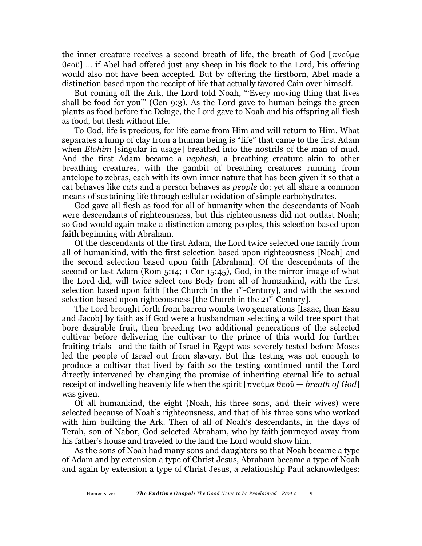the inner creature receives a second breath of life, the breath of God  $[\pi v \in \hat{\mathfrak{g}}\mu\alpha]$  $\theta \in \{0, 0\}$  ... if Abel had offered just any sheep in his flock to the Lord, his offering would also not have been accepted. But by offering the firstborn, Abel made a distinction based upon the receipt of life that actually favored Cain over himself.

But coming off the Ark, the Lord told Noah, "'Every moving thing that lives shall be food for you'" (Gen 9:3). As the Lord gave to human beings the green plants as food before the Deluge, the Lord gave to Noah and his offspring all flesh as food, but flesh without life.

To God, life is precious, for life came from Him and will return to Him. What separates a lump of clay from a human being is "life" that came to the first Adam when *Elohim* [singular in usage] breathed into the nostrils of the man of mud. And the first Adam became a *nephesh*, a breathing creature akin to other breathing creatures, with the gambit of breathing creatures running from antelope to zebras, each with its own inner nature that has been given it so that a cat behaves like *cats* and a person behaves as *people* do; yet all share a common means of sustaining life through cellular oxidation of simple carbohydrates.

God gave all flesh as food for all of humanity when the descendants of Noah were descendants of righteousness, but this righteousness did not outlast Noah; so God would again make a distinction among peoples, this selection based upon faith beginning with Abraham.

Of the descendants of the first Adam, the Lord twice selected one family from all of humankind, with the first selection based upon righteousness [Noah] and the second selection based upon faith [Abraham]. Of the descendants of the second or last Adam (Rom 5:14; 1 Cor 15:45), God, in the mirror image of what the Lord did, will twice select one Body from all of humankind, with the first selection based upon faith [the Church in the  $1<sup>st</sup>$ -Century], and with the second selection based upon righteousness [the Church in the  $21<sup>st</sup>$ -Century].

The Lord brought forth from barren wombs two generations [Isaac, then Esau and Jacob] by faith as if God were a husbandman selecting a wild tree sport that bore desirable fruit, then breeding two additional generations of the selected cultivar before delivering the cultivar to the prince of this world for further fruiting trials—and the faith of Israel in Egypt was severely tested before Moses led the people of Israel out from slavery. But this testing was not enough to produce a cultivar that lived by faith so the testing continued until the Lord directly intervened by changing the promise of inheriting eternal life to actual receipt of indwelling heavenly life when the spirit  $[\pi v \in \mathcal{C}_\mu \mathfrak{g}]$  are *breath of God* was given.

Of all humankind, the eight (Noah, his three sons, and their wives) were selected because of Noah's righteousness, and that of his three sons who worked with him building the Ark. Then of all of Noah's descendants, in the days of Terah, son of Nabor, God selected Abraham, who by faith journeyed away from his father's house and traveled to the land the Lord would show him.

As the sons of Noah had many sons and daughters so that Noah became a type of Adam and by extension a type of Christ Jesus, Abraham became a type of Noah and again by extension a type of Christ Jesus, a relationship Paul acknowledges: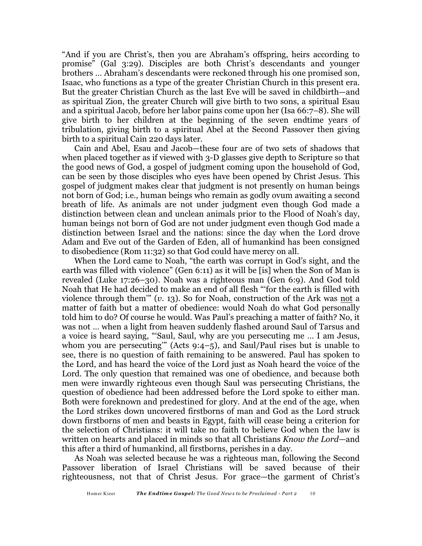"And if you are Christ's, then you are Abraham's offspring, heirs according to promise" (Gal 3:29). Disciples are both Christ's descendants and younger brothers … Abraham's descendants were reckoned through his one promised son, Isaac, who functions as a type of the greater Christian Church in this present era. But the greater Christian Church as the last Eve will be saved in childbirth—and as spiritual Zion, the greater Church will give birth to two sons, a spiritual Esau and a spiritual Jacob, before her labor pains come upon her (Isa 66:7–8). She will give birth to her children at the beginning of the seven endtime years of tribulation, giving birth to a spiritual Abel at the Second Passover then giving birth to a spiritual Cain 220 days later.

Cain and Abel, Esau and Jacob—these four are of two sets of shadows that when placed together as if viewed with 3-D glasses give depth to Scripture so that the good news of God, a gospel of judgment coming upon the household of God, can be seen by those disciples who eyes have been opened by Christ Jesus. This gospel of judgment makes clear that judgment is not presently on human beings not born of God; i.e., human beings who remain as godly ovum awaiting a second breath of life. As animals are not under judgment even though God made a distinction between clean and unclean animals prior to the Flood of Noah's day, human beings not born of God are not under judgment even though God made a distinction between Israel and the nations: since the day when the Lord drove Adam and Eve out of the Garden of Eden, all of humankind has been consigned to disobedience (Rom 11:32) so that God could have mercy on all.

When the Lord came to Noah, "the earth was corrupt in God's sight, and the earth was filled with violence" (Gen 6:11) as it will be [is] when the Son of Man is revealed (Luke 17:26–30). Noah was a righteous man (Gen 6:9). And God told Noah that He had decided to make an end of all flesh "'for the earth is filled with violence through them'" (*v*. 13). So for Noah, construction of the Ark was not a matter of faith but a matter of obedience: would Noah do what God personally told him to do? Of course he would. Was Paul's preaching a matter of faith? No, it was not … when a light from heaven suddenly flashed around Saul of Tarsus and a voice is heard saying, "'Saul, Saul, why are you persecuting me … I am Jesus, whom you are persecuting'" (Acts 9:4–5), and Saul/Paul rises but is unable to see, there is no question of faith remaining to be answered. Paul has spoken to the Lord, and has heard the voice of the Lord just as Noah heard the voice of the Lord. The only question that remained was one of obedience, and because both men were inwardly righteous even though Saul was persecuting Christians, the question of obedience had been addressed before the Lord spoke to either man. Both were foreknown and predestined for glory. And at the end of the age, when the Lord strikes down uncovered firstborns of man and God as the Lord struck down firstborns of men and beasts in Egypt, faith will cease being a criterion for the selection of Christians: it will take no faith to believe God when the law is written on hearts and placed in minds so that all Christians *Know the Lord*—and this after a third of humankind, all firstborns, perishes in a day.

As Noah was selected because he was a righteous man, following the Second Passover liberation of Israel Christians will be saved because of their righteousness, not that of Christ Jesus. For grace—the garment of Christ's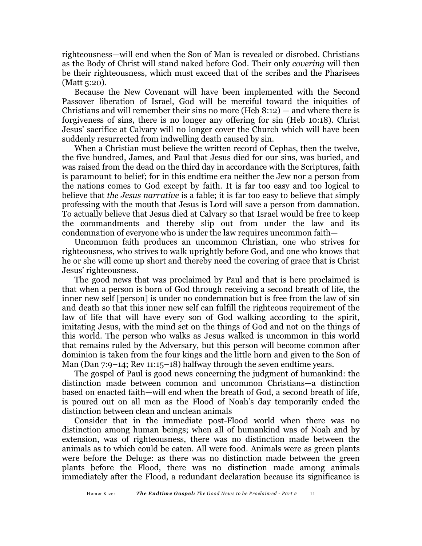righteousness—will end when the Son of Man is revealed or disrobed. Christians as the Body of Christ will stand naked before God. Their only *covering* will then be their righteousness, which must exceed that of the scribes and the Pharisees (Matt 5:20).

Because the New Covenant will have been implemented with the Second Passover liberation of Israel, God will be merciful toward the iniquities of Christians and will remember their sins no more (Heb  $8:12$ ) — and where there is forgiveness of sins, there is no longer any offering for sin (Heb 10:18). Christ Jesus' sacrifice at Calvary will no longer cover the Church which will have been suddenly resurrected from indwelling death caused by sin.

When a Christian must believe the written record of Cephas, then the twelve, the five hundred, James, and Paul that Jesus died for our sins, was buried, and was raised from the dead on the third day in accordance with the Scriptures, faith is paramount to belief; for in this endtime era neither the Jew nor a person from the nations comes to God except by faith. It is far too easy and too logical to believe that *the Jesus narrative* is a fable; it is far too easy to believe that simply professing with the mouth that Jesus is Lord will save a person from damnation. To actually believe that Jesus died at Calvary so that Israel would be free to keep the commandments and thereby slip out from under the law and its condemnation of everyone who is under the law requires uncommon faith—

Uncommon faith produces an uncommon Christian, one who strives for righteousness, who strives to walk uprightly before God, and one who knows that he or she will come up short and thereby need the covering of grace that is Christ Jesus' righteousness.

The good news that was proclaimed by Paul and that is here proclaimed is that when a person is born of God through receiving a second breath of life, the inner new self [person] is under no condemnation but is free from the law of sin and death so that this inner new self can fulfill the righteous requirement of the law of life that will have every son of God walking according to the spirit, imitating Jesus, with the mind set on the things of God and not on the things of this world. The person who walks as Jesus walked is uncommon in this world that remains ruled by the Adversary, but this person will become common after dominion is taken from the four kings and the little horn and given to the Son of Man (Dan  $7:9-14$ ; Rev  $11:15-18$ ) halfway through the seven endtime years.

The gospel of Paul is good news concerning the judgment of humankind: the distinction made between common and uncommon Christians—a distinction based on enacted faith—will end when the breath of God, a second breath of life, is poured out on all men as the Flood of Noah's day temporarily ended the distinction between clean and unclean animals

Consider that in the immediate post-Flood world when there was no distinction among human beings; when all of humankind was of Noah and by extension, was of righteousness, there was no distinction made between the animals as to which could be eaten. All were food. Animals were as green plants were before the Deluge: as there was no distinction made between the green plants before the Flood, there was no distinction made among animals immediately after the Flood, a redundant declaration because its significance is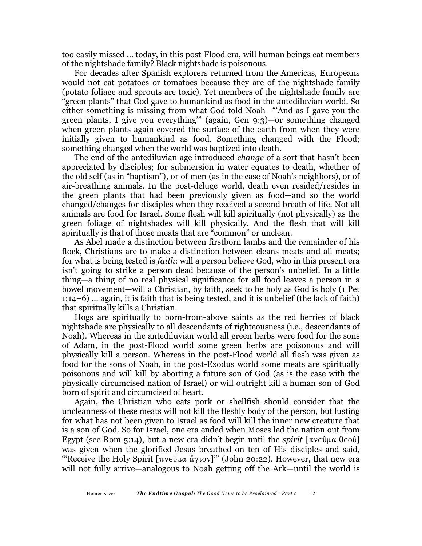too easily missed … today, in this post-Flood era, will human beings eat members of the nightshade family? Black nightshade is poisonous.

For decades after Spanish explorers returned from the Americas, Europeans would not eat potatoes or tomatoes because they are of the nightshade family (potato foliage and sprouts are toxic). Yet members of the nightshade family are "green plants" that God gave to humankind as food in the antediluvian world. So either something is missing from what God told Noah—"'And as I gave you the green plants, I give you everything'" (again, Gen 9:3)—or something changed when green plants again covered the surface of the earth from when they were initially given to humankind as food. Something changed with the Flood; something changed when the world was baptized into death.

The end of the antediluvian age introduced *change* of a sort that hasn't been appreciated by disciples; for submersion in water equates to death, whether of the old self (as in "baptism"), or of men (as in the case of Noah's neighbors), or of air-breathing animals. In the post-deluge world, death even resided/resides in the green plants that had been previously given as food—and so the world changed/changes for disciples when they received a second breath of life. Not all animals are food for Israel. Some flesh will kill spiritually (not physically) as the green foliage of nightshades will kill physically. And the flesh that will kill spiritually is that of those meats that are "common" or unclean.

As Abel made a distinction between firstborn lambs and the remainder of his flock, Christians are to make a distinction between cleans meats and all meats; for what is being tested is *faith*: will a person believe God, who in this present era isn't going to strike a person dead because of the person's unbelief. In a little thing—a thing of no real physical significance for all food leaves a person in a bowel movement—will a Christian, by faith, seek to be holy as God is holy (1 Pet 1:14–6) … again, it is faith that is being tested, and it is unbelief (the lack of faith) that spiritually kills a Christian.

Hogs are spiritually to born-from-above saints as the red berries of black nightshade are physically to all descendants of righteousness (i.e., descendants of Noah). Whereas in the antediluvian world all green herbs were food for the sons of Adam, in the post-Flood world some green herbs are poisonous and will physically kill a person. Whereas in the post-Flood world all flesh was given as food for the sons of Noah, in the post-Exodus world some meats are spiritually poisonous and will kill by aborting a future son of God (as is the case with the physically circumcised nation of Israel) or will outright kill a human son of God born of spirit and circumcised of heart.

Again, the Christian who eats pork or shellfish should consider that the uncleanness of these meats will not kill the fleshly body of the person, but lusting for what has not been given to Israel as food will kill the inner new creature that is a son of God. So for Israel, one era ended when Moses led the nation out from Egypt (see Rom 5:14), but a new era didn't begin until the *spirit*  $[\pi v \in \mathfrak{g} \times \mathfrak{g} \times \mathfrak{g} \times \mathfrak{g}]$ was given when the glorified Jesus breathed on ten of His disciples and said, "'Receive the Holy Spirit [ $\pi v \in \partial \mu \alpha \alpha' v \in U$ ]" (John 20:22). However, that new era will not fully arrive—analogous to Noah getting off the Ark—until the world is